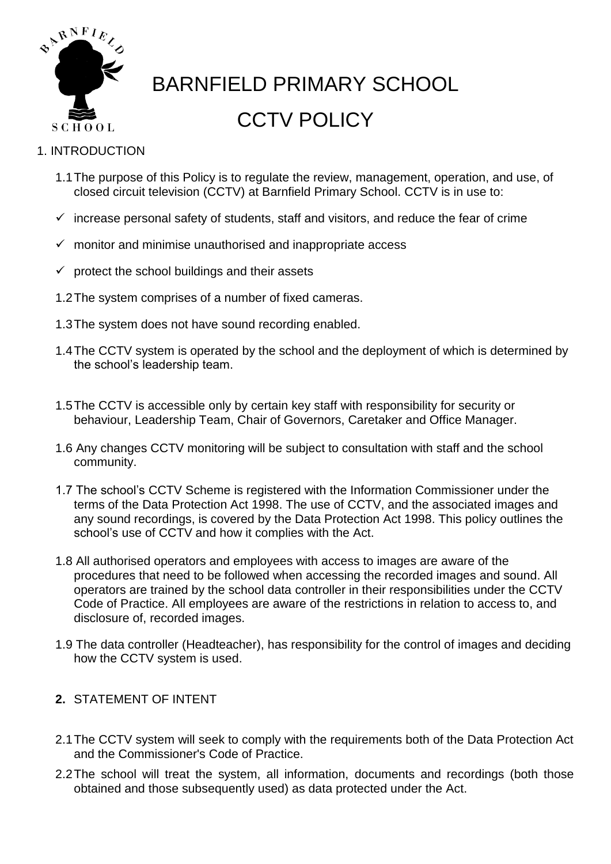

# BARNFIELD PRIMARY SCHOOL CCTV POLICY

### 1. INTRODUCTION

- 1.1The purpose of this Policy is to regulate the review, management, operation, and use, of closed circuit television (CCTV) at Barnfield Primary School. CCTV is in use to:
- $\checkmark$  increase personal safety of students, staff and visitors, and reduce the fear of crime
- $\checkmark$  monitor and minimise unauthorised and inappropriate access
- $\checkmark$  protect the school buildings and their assets
- 1.2The system comprises of a number of fixed cameras.
- 1.3The system does not have sound recording enabled.
- 1.4The CCTV system is operated by the school and the deployment of which is determined by the school's leadership team.
- 1.5The CCTV is accessible only by certain key staff with responsibility for security or behaviour, Leadership Team, Chair of Governors, Caretaker and Office Manager.
- 1.6 Any changes CCTV monitoring will be subject to consultation with staff and the school community.
- 1.7 The school's CCTV Scheme is registered with the Information Commissioner under the terms of the Data Protection Act 1998. The use of CCTV, and the associated images and any sound recordings, is covered by the Data Protection Act 1998. This policy outlines the school's use of CCTV and how it complies with the Act.
- 1.8 All authorised operators and employees with access to images are aware of the procedures that need to be followed when accessing the recorded images and sound. All operators are trained by the school data controller in their responsibilities under the CCTV Code of Practice. All employees are aware of the restrictions in relation to access to, and disclosure of, recorded images.
- 1.9 The data controller (Headteacher), has responsibility for the control of images and deciding how the CCTV system is used.

## **2.** STATEMENT OF INTENT

- 2.1The CCTV system will seek to comply with the requirements both of the Data Protection Act and the Commissioner's Code of Practice.
- 2.2The school will treat the system, all information, documents and recordings (both those obtained and those subsequently used) as data protected under the Act.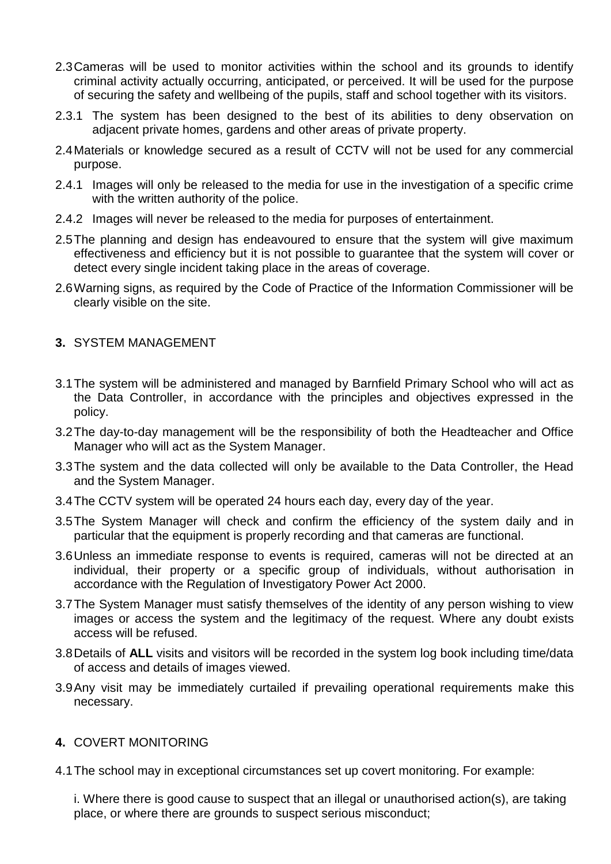- 2.3Cameras will be used to monitor activities within the school and its grounds to identify criminal activity actually occurring, anticipated, or perceived. It will be used for the purpose of securing the safety and wellbeing of the pupils, staff and school together with its visitors.
- 2.3.1 The system has been designed to the best of its abilities to deny observation on adjacent private homes, gardens and other areas of private property.
- 2.4Materials or knowledge secured as a result of CCTV will not be used for any commercial purpose.
- 2.4.1 Images will only be released to the media for use in the investigation of a specific crime with the written authority of the police.
- 2.4.2 Images will never be released to the media for purposes of entertainment.
- 2.5The planning and design has endeavoured to ensure that the system will give maximum effectiveness and efficiency but it is not possible to guarantee that the system will cover or detect every single incident taking place in the areas of coverage.
- 2.6Warning signs, as required by the Code of Practice of the Information Commissioner will be clearly visible on the site.

#### **3.** SYSTEM MANAGEMENT

- 3.1The system will be administered and managed by Barnfield Primary School who will act as the Data Controller, in accordance with the principles and objectives expressed in the policy.
- 3.2The day-to-day management will be the responsibility of both the Headteacher and Office Manager who will act as the System Manager.
- 3.3The system and the data collected will only be available to the Data Controller, the Head and the System Manager.
- 3.4The CCTV system will be operated 24 hours each day, every day of the year.
- 3.5The System Manager will check and confirm the efficiency of the system daily and in particular that the equipment is properly recording and that cameras are functional.
- 3.6Unless an immediate response to events is required, cameras will not be directed at an individual, their property or a specific group of individuals, without authorisation in accordance with the Regulation of Investigatory Power Act 2000.
- 3.7The System Manager must satisfy themselves of the identity of any person wishing to view images or access the system and the legitimacy of the request. Where any doubt exists access will be refused.
- 3.8Details of **ALL** visits and visitors will be recorded in the system log book including time/data of access and details of images viewed.
- 3.9Any visit may be immediately curtailed if prevailing operational requirements make this necessary.

#### **4.** COVERT MONITORING

4.1The school may in exceptional circumstances set up covert monitoring. For example:

i. Where there is good cause to suspect that an illegal or unauthorised action(s), are taking place, or where there are grounds to suspect serious misconduct;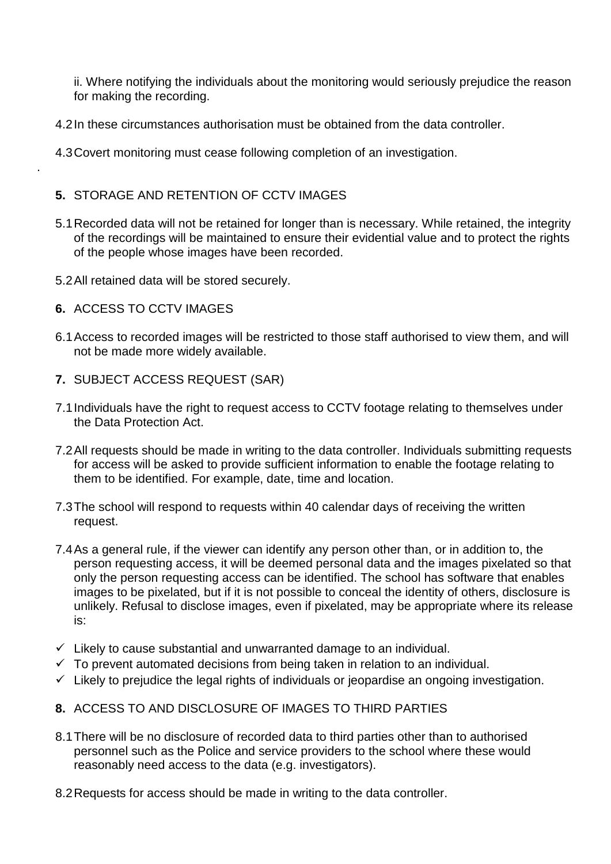ii. Where notifying the individuals about the monitoring would seriously prejudice the reason for making the recording.

- 4.2In these circumstances authorisation must be obtained from the data controller.
- 4.3Covert monitoring must cease following completion of an investigation.

#### **5.** STORAGE AND RETENTION OF CCTV IMAGES

- 5.1Recorded data will not be retained for longer than is necessary. While retained, the integrity of the recordings will be maintained to ensure their evidential value and to protect the rights of the people whose images have been recorded.
- 5.2All retained data will be stored securely.
- **6.** ACCESS TO CCTV IMAGES

.

- 6.1Access to recorded images will be restricted to those staff authorised to view them, and will not be made more widely available.
- **7.** SUBJECT ACCESS REQUEST (SAR)
- 7.1Individuals have the right to request access to CCTV footage relating to themselves under the Data Protection Act.
- 7.2All requests should be made in writing to the data controller. Individuals submitting requests for access will be asked to provide sufficient information to enable the footage relating to them to be identified. For example, date, time and location.
- 7.3The school will respond to requests within 40 calendar days of receiving the written request.
- 7.4As a general rule, if the viewer can identify any person other than, or in addition to, the person requesting access, it will be deemed personal data and the images pixelated so that only the person requesting access can be identified. The school has software that enables images to be pixelated, but if it is not possible to conceal the identity of others, disclosure is unlikely. Refusal to disclose images, even if pixelated, may be appropriate where its release is:
- $\checkmark$  Likely to cause substantial and unwarranted damage to an individual.
- $\checkmark$  To prevent automated decisions from being taken in relation to an individual.
- $\checkmark$  Likely to prejudice the legal rights of individuals or jeopardise an ongoing investigation.
- **8.** ACCESS TO AND DISCLOSURE OF IMAGES TO THIRD PARTIES
- 8.1There will be no disclosure of recorded data to third parties other than to authorised personnel such as the Police and service providers to the school where these would reasonably need access to the data (e.g. investigators).
- 8.2Requests for access should be made in writing to the data controller.